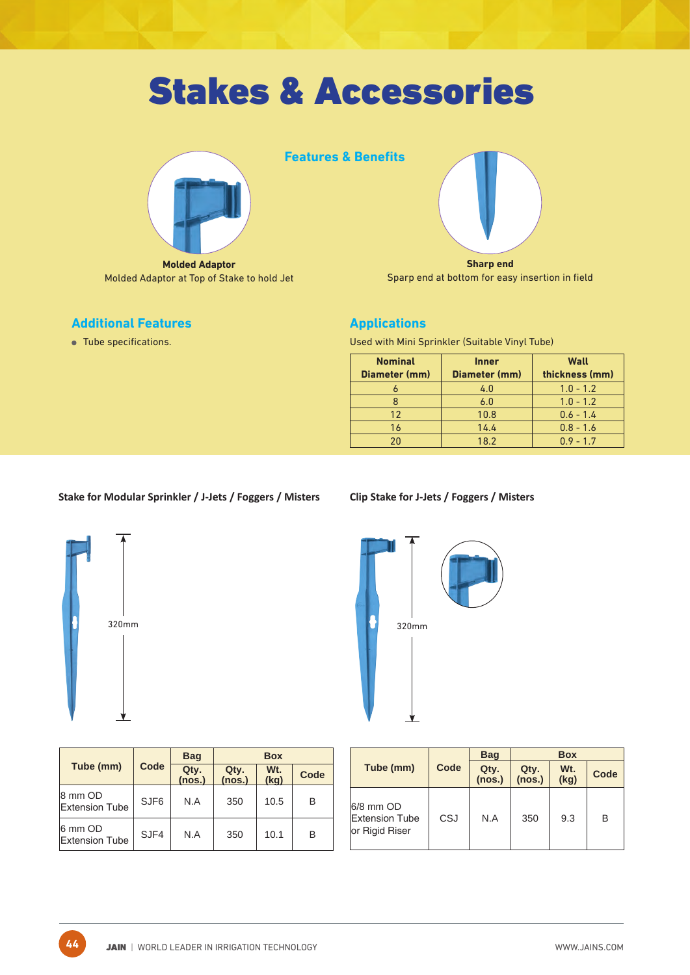

**Molded Adaptor**  Molded Adaptor at Top of Stake to hold Jet

# **Features & Benefits**

**Sharp end**  Sparp end at bottom for easy insertion in field

## **Additional Features**

Tube specifications.

## **Applications**

Used with Mini Sprinkler (Suitable Vinyl Tube)

| <b>Nominal</b><br>Diameter (mm) | <b>Inner</b><br>Diameter (mm) | Wall<br>thickness (mm) |
|---------------------------------|-------------------------------|------------------------|
|                                 | 4.0                           | $1.0 - 1.2$            |
|                                 | 6.0                           | $1.0 - 1.2$            |
| 12                              | 10.8                          | $0.6 - 1.4$            |
| 16                              | 14.4                          | $0.8 - 1.6$            |
| 20                              | 18.2                          | $0.9 - 1.7$            |
|                                 |                               |                        |

## **Stake for Modular Sprinkler / J-Jets / Foggers / Misters**



**44**

|       | 60a   |
|-------|-------|
| 320mm | 320mm |
|       |       |
|       |       |
|       |       |

|                                  |                  | <b>Bag</b>     |                | <b>Box</b>  |      |
|----------------------------------|------------------|----------------|----------------|-------------|------|
| Tube (mm)                        | Code             | Qty.<br>(nos.) | Qty.<br>(nos.) | Wt.<br>(kg) | Code |
| 8 mm OD<br><b>Extension Tube</b> | SJF <sub>6</sub> | N.A            | 350            | 10.5        | В    |
| 6 mm OD<br><b>Extension Tube</b> | SJF4             | N.A            | 350            | 10.1        | B    |

**Clip Stake for J-Jets / Foggers / Misters**

|                                                      |      | <b>Bag</b>     | <b>Box</b>     |                         |      |
|------------------------------------------------------|------|----------------|----------------|-------------------------|------|
| Tube (mm)                                            | Code | Qty.<br>(nos.) | Qty.<br>(nos.) | W <sub>t.</sub><br>(kg) | Code |
| 6/8 mm OD<br><b>Extension Tube</b><br>or Rigid Riser | CSJ  | N.A            | 350            | 9.3                     | B    |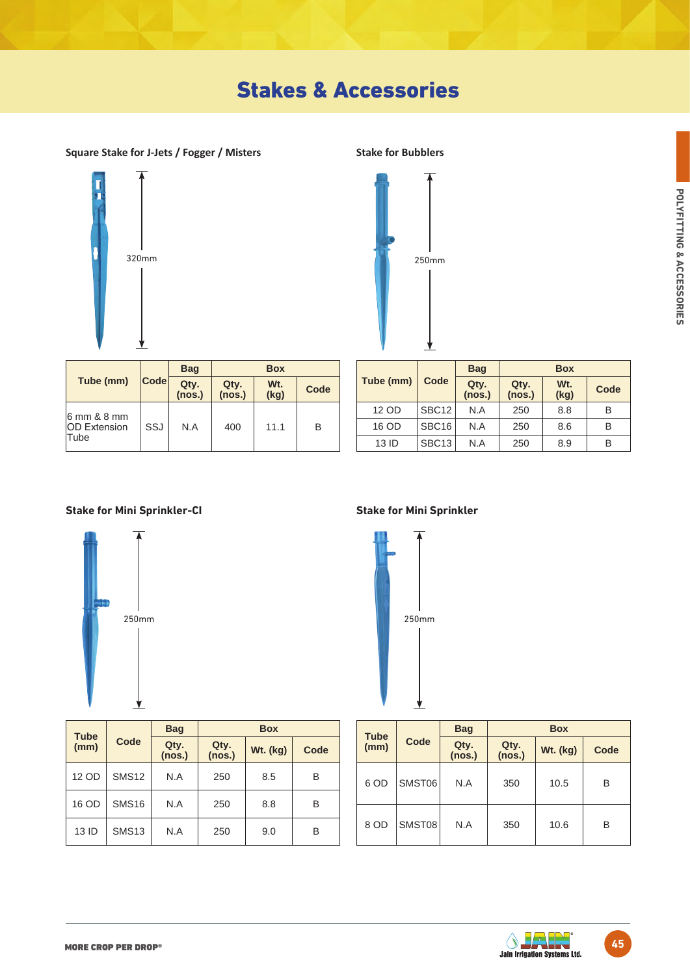



|                                            | <b>Bag</b><br>Code<br>Qty.<br>(nos.) |     | <b>Box</b>     |                         |      |
|--------------------------------------------|--------------------------------------|-----|----------------|-------------------------|------|
| Tube (mm)                                  |                                      |     | Qty.<br>(nos.) | W <sub>t.</sub><br>(kg) | Code |
| 6 mm & 8 mm<br><b>OD</b> Extension<br>Tube | SSJ                                  | N.A | 400            | 11.1                    | B    |

|           |                   | <b>Bag</b>     |                | <b>Box</b>              |      |
|-----------|-------------------|----------------|----------------|-------------------------|------|
| Tube (mm) | Code              | Qty.<br>(nos.) | Qty.<br>(nos.) | W <sub>t.</sub><br>(kg) | Code |
| 12 OD     | SBC <sub>12</sub> | N.A            | 250            | 8.8                     | В    |
| 16 OD     | SBC <sub>16</sub> | N.A            | 250            | 8.6                     | B    |
| 13 ID     | SBC <sub>13</sub> | N.A            | 250            | 8.9                     | B    |

**Stake for Mini Sprinkler-CI Stake for Mini Sprinkler**



| <b>Tube</b> |              | <b>Bag</b>     |                | <b>Box</b>      |      |
|-------------|--------------|----------------|----------------|-----------------|------|
| (mm)        | Code         | Qty.<br>(nos.) | Qty.<br>(nos.) | <b>Wt. (kg)</b> | Code |
| 12 OD       | <b>SMS12</b> | N.A            | 250            | 8.5             | B    |
| 16 OD       | <b>SMS16</b> | N.A            | 250            | 8.8             | B    |
| 13 ID       | <b>SMS13</b> | N.A            | 250            | 9.0             | в    |



| <b>Tube</b> |        | <b>Bag</b>     |                | <b>Box</b>      |      |
|-------------|--------|----------------|----------------|-----------------|------|
| (mm)        | Code   | Qty.<br>(nos.) | Qty.<br>(nos.) | <b>Wt. (kg)</b> | Code |
| 6 OD        | SMST06 | N.A            | 350            | 10.5            | B    |
| 8 OD        | SMST08 | N.A            | 350            | 10.6            | B    |

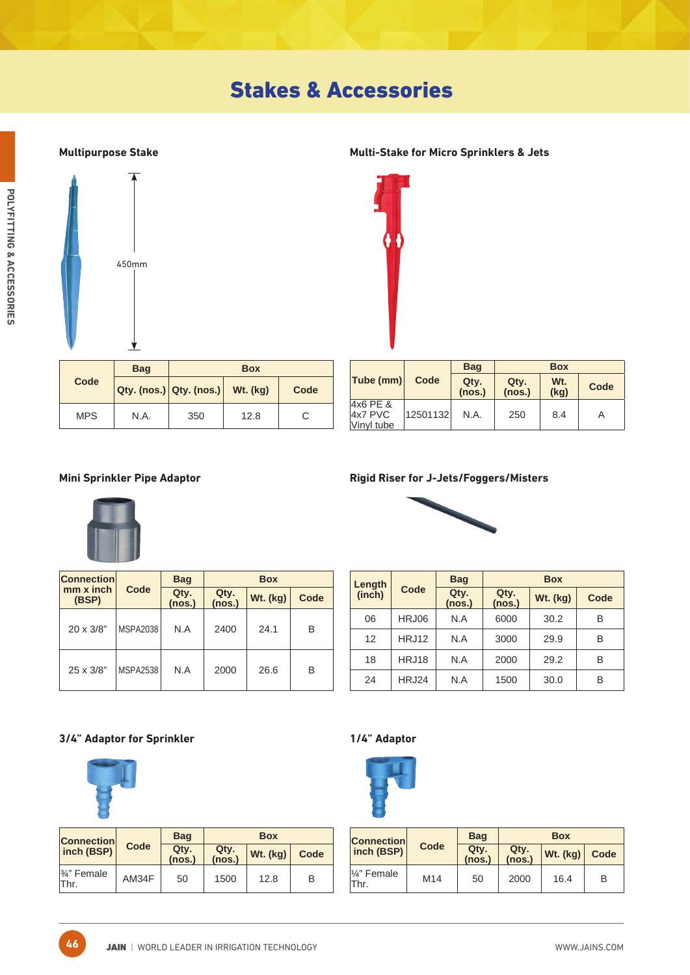

## **Multipurpose Stake Multi-Stake for Micro Sprinklers & Jets**



|            | <b>Bag</b> | <b>Box</b>                               |      |      |
|------------|------------|------------------------------------------|------|------|
| Code       |            | $ Q$ ty. (nos.) $ Q$ ty. (nos.) Wt. (kg) |      | Code |
| <b>MPS</b> | N.A.       | 350                                      | 12.8 | С    |

|                                       |          | <b>Bag</b>     |                | <b>Box</b>              |      |
|---------------------------------------|----------|----------------|----------------|-------------------------|------|
| $ $ Tube (mm) $ $                     | Code     | Qty.<br>(nos.) | Qty.<br>(nos.) | W <sub>t.</sub><br>(kg) | Code |
| $4x6$ PE &<br>$4x7$ PVC<br>Vinyl tube | 12501132 | N.A.           | 250            | 8.4                     | A    |



| <b>Connection</b>         |                 | <b>Bag</b>     |                | <b>Box</b> |      |
|---------------------------|-----------------|----------------|----------------|------------|------|
| $mm \times inch$<br>(BSP) | Code            | Qty.<br>(nos.) | Qty.<br>(nos.) | Wt. (kg)   | Code |
| $20 \times 3/8"$          | <b>MSPA2038</b> | N.A            | 2400           | 24.1       | в    |
| 25 x 3/8"                 | <b>MSPA2538</b> | N.A            | 2000           | 26.6       | в    |

### **Mini Sprinkler Pipe Adaptor Rigid Riser for J-Jets/Foggers/Misters**



| Length            |              | <b>Bag</b>                       |      | <b>Box</b>      |      |
|-------------------|--------------|----------------------------------|------|-----------------|------|
| (inch)            | Code         | Qty.<br>Qty.<br>(nos.)<br>(nos.) |      | <b>Wt.</b> (kg) | Code |
| 06                | HRJ06        | N.A                              | 6000 | 30.2            | B    |
| $12 \overline{ }$ | <b>HRJ12</b> | N.A                              | 3000 | 29.9            | B    |
| 18                | <b>HRJ18</b> | N.A                              | 2000 | 29.2            | B    |
| 24                | HRJ24        | N.A                              | 1500 | 30.0            | B    |

### **3/4" Adaptor for Sprinkler 1/4" Adaptor**



**46**

| <b>Connection</b>   |       | <b>Bag</b>     | <b>Box</b>     |          |      |
|---------------------|-------|----------------|----------------|----------|------|
| inch (BSP)          | Code  | Qty.<br>(nos.) | Qty.<br>(nos.) | Wt. (kg) | Code |
| 3⁄4" Female<br>Thr. | AM34F | 50             | 1500           | 12.8     | в    |



| <b>Connection</b>      |      | <b>Bag</b>     |                | <b>Box</b> |      |
|------------------------|------|----------------|----------------|------------|------|
| inch (BSP)             | Code | Qty.<br>(nos.) | Qty.<br>(nos.) | Wt. (kg)   | Code |
| $1/4$ " Female<br>Thr. | M14  | 50             | 2000           | 16.4       | в    |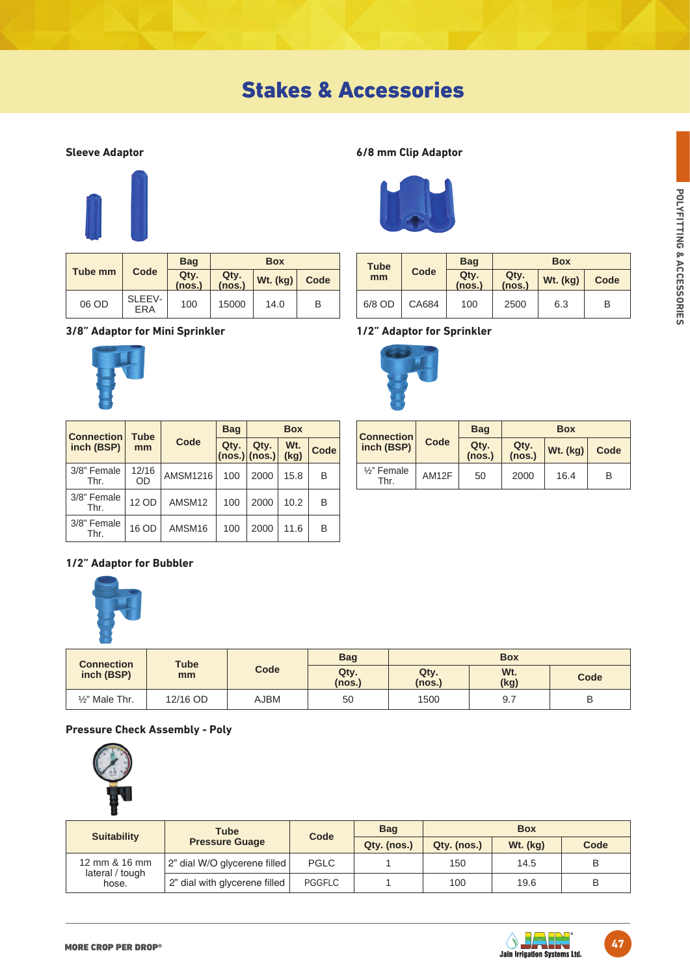

|         |                      | <b>Bag</b>     | <b>Box</b>     |          |      |
|---------|----------------------|----------------|----------------|----------|------|
| Tube mm | Code                 | Qty.<br>(nos.) | Qty.<br>(nos.) | Wt. (kg) | Code |
| 06 OD   | SLEEV-<br><b>ERA</b> | 100            | 15000          | 14.0     | B    |

## **3/8" Adaptor for Mini Sprinkler 1/2" Adaptor for Sprinkler**



| <b>Connection</b>   | <b>Tube</b> |                 | <b>Bag</b> |                         | <b>Box</b>              |      |
|---------------------|-------------|-----------------|------------|-------------------------|-------------------------|------|
| inch (BSP)          | mm          | Code            | Qty.       | Qty.<br>$(nos.)$ (nos.) | W <sub>t.</sub><br>(kq) | Code |
| 3/8" Female<br>Thr. | 12/16<br>OD | <b>AMSM1216</b> | 100        | 2000                    | 15.8                    | B    |
| 3/8" Female<br>Thr. | 12 OD       | AMSM12          | 100        | 2000                    | 10.2                    | B    |
| 3/8" Female<br>Thr  | 16 OD       | AMSM16          | 100        | 2000                    | 11.6                    | B    |

## **1/2" Adaptor for Bubbler**



| <b>Connection</b>         | Tube     |      | <b>Bag</b>     |                | <b>Box</b>  |      |
|---------------------------|----------|------|----------------|----------------|-------------|------|
| inch (BSP)                | mm       | Code | Qty.<br>(nos.) | Qty.<br>(nos.) | Wt.<br>(kg) | Code |
| $\frac{1}{2}$ " Male Thr. | 12/16 OD | AJBM | 50             | 1500           | 9.7         | B    |

## **Pressure Check Assembly - Poly**



| <b>Suitability</b>       | <b>Tube</b>                   |               | <b>Bag</b>  | <b>Box</b>  |            |      |
|--------------------------|-------------------------------|---------------|-------------|-------------|------------|------|
|                          | <b>Pressure Guage</b>         | Code          | Qty. (nos.) | Qty. (nos.) | $Wt.$ (kg) | Code |
| 12 mm & 16 mm            | 2" dial W/O glycerene filled  | <b>PGLC</b>   |             | 150         | 14.5       | B    |
| lateral / tough<br>hose. | 2" dial with glycerene filled | <b>PGGFLC</b> |             | 100         | 19.6       | B    |

## **Sleeve Adaptor 6/8 mm Clip Adaptor**



| <b>Tube</b> |       | <b>Bag</b>     |                |          |      |
|-------------|-------|----------------|----------------|----------|------|
| mm          | Code  | Qty.<br>(nos.) | Qty.<br>(nos.) | Wt. (kg) | Code |
| 6/8 OD      | CA684 | 100            | 2500           | 6.3      | B    |



| <b>Connection</b>              |       | <b>Bag</b>     |                | <b>Box</b> |      |
|--------------------------------|-------|----------------|----------------|------------|------|
| inch (BSP)                     | Code  | Qty.<br>(nos.) | Qty.<br>(nos.) | Wt. (kg)   | Code |
| $\frac{1}{2}$ " Female<br>Thr. | AM12F | 50             | 2000           | 16.4       | B    |